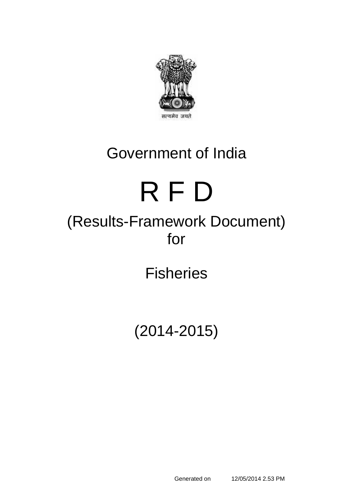

# Government of India

# R F D

# (Results-Framework Document) for

**Fisheries** 

(2014-2015)

Generated on 12/05/2014 2.53 PM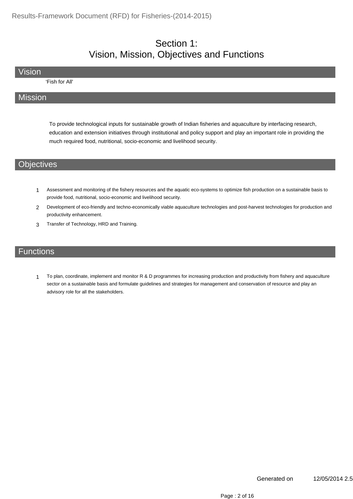#### Section 1: Vision, Mission, Objectives and Functions

Vision

'Fish for All'

#### Mission

To provide technological inputs for sustainable growth of Indian fisheries and aquaculture by interfacing research, education and extension initiatives through institutional and policy support and play an important role in providing the much required food, nutritional, socio-economic and livelihood security.

#### **Objectives**

- 1 Assessment and monitoring of the fishery resources and the aquatic eco-systems to optimize fish production on a sustainable basis to provide food, nutritional, socio-economic and livelihood security.
- 2 Development of eco-friendly and techno-economically viable aquaculture technologies and post-harvest technologies for production and productivity enhancement.
- 3 Transfer of Technology, HRD and Training.

#### **Functions**

To plan, coordinate, implement and monitor R & D programmes for increasing production and productivity from fishery and aquaculture sector on a sustainable basis and formulate guidelines and strategies for management and conservation of resource and play an advisory role for all the stakeholders. 1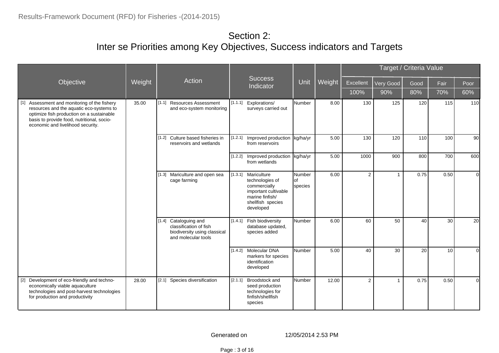#### Section 2: Inter se Priorities among Key Objectives, Success indicators and Targets

|                                                                                                                                                                                                                          |        |                                                                                                             |         |                                                                                                                                     |                                |        |                |                | Target / Criteria Value |                 |          |
|--------------------------------------------------------------------------------------------------------------------------------------------------------------------------------------------------------------------------|--------|-------------------------------------------------------------------------------------------------------------|---------|-------------------------------------------------------------------------------------------------------------------------------------|--------------------------------|--------|----------------|----------------|-------------------------|-----------------|----------|
| Objective                                                                                                                                                                                                                | Weight | Action                                                                                                      |         | Success<br>Indicator                                                                                                                | Unit                           | Weight | Excellent      | Very Good      | Good                    | Fair            | Poor     |
|                                                                                                                                                                                                                          |        |                                                                                                             |         |                                                                                                                                     |                                |        | 100%           | 90%            | 80%                     | 70%             | 60%      |
| [1] Assessment and monitoring of the fishery<br>resources and the aquatic eco-systems to<br>optimize fish production on a sustainable<br>basis to provide food, nutritional, socio-<br>economic and livelihood security. | 35.00  | [1.1]<br><b>Resources Assessment</b><br>and eco-system monitoring                                           | [1.1.1] | Explorations/<br>surveys carried out                                                                                                | <b>Number</b>                  | 8.00   | 130            | 125            | 120                     | 115             | 110      |
|                                                                                                                                                                                                                          |        | Culture based fisheries in<br>[1.2]<br>reservoirs and wetlands                                              |         | [1.2.1] Improved production<br>from reservoirs                                                                                      | kg/ha/yr                       | 5.00   | 130            | 120            | 110                     | 100             | 90       |
|                                                                                                                                                                                                                          |        |                                                                                                             |         | [1.2.2] Improved production<br>from wetlands                                                                                        | kg/ha/yr                       | 5.00   | 1000           | 900            | 800                     | 700             | 600      |
|                                                                                                                                                                                                                          |        | Mariculture and open sea<br>[1.3]<br>cage farming                                                           |         | [1.3.1] Mariculture<br>technologies of<br>commercially<br>important cultivable<br>marine finfish/<br>shellfish species<br>developed | Number<br><b>of</b><br>species | 6.00   | $\overline{2}$ | $\overline{1}$ | 0.75                    | 0.50            | $\circ$  |
|                                                                                                                                                                                                                          |        | Cataloguing and<br>$[1.4]$<br>classification of fish<br>biodiversity using classical<br>and molecular tools |         | [1.4.1] Fish biodiversity<br>database updated,<br>species added                                                                     | Number                         | 6.00   | 60             | 50             | 40                      | 30 <sup>1</sup> | 20       |
|                                                                                                                                                                                                                          |        |                                                                                                             |         | [1.4.2] Molecular DNA<br>markers for species<br>identification<br>developed                                                         | Number                         | 5.00   | 40             | 30             | 20                      | 10 <sup>1</sup> | $\Omega$ |
| [2] Development of eco-friendly and techno-<br>economically viable aquaculture<br>technologies and post-harvest technologies<br>for production and productivity                                                          | 28.00  | [2.1] Species diversification                                                                               | [2.1.1] | Broodstock and<br>seed production<br>technologies for<br>finfish/shellfish<br>species                                               | Number                         | 12.00  | $\overline{2}$ | $\overline{1}$ | 0.75                    | 0.50            | $\Omega$ |

Generated on 12/05/2014 2.53 PM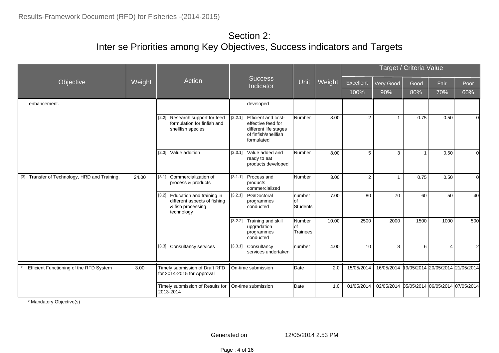#### Section 2: Inter se Priorities among Key Objectives, Success indicators and Targets

|                                               |        |                                                                                                       |                                                                                                                  |                                  |        |                |                | Target / Criteria Value |                                  |                |
|-----------------------------------------------|--------|-------------------------------------------------------------------------------------------------------|------------------------------------------------------------------------------------------------------------------|----------------------------------|--------|----------------|----------------|-------------------------|----------------------------------|----------------|
| Objective                                     | Weight | Action                                                                                                | <b>Success</b><br>Indicator                                                                                      | Unit                             | Weight | Excellent      | Very Good      | Good                    | Fair                             | Poor           |
|                                               |        |                                                                                                       |                                                                                                                  |                                  |        | 100%           | 90%            | 80%                     | 70%                              | 60%            |
| enhancement.                                  |        |                                                                                                       | developed                                                                                                        |                                  |        |                |                |                         |                                  |                |
|                                               |        | Research support for feed<br>$[2.2]$<br>formulation for finfish and<br>shellfish species              | [2.2.1] Efficient and cost-<br>effective feed for<br>different life stages<br>of finfish/shellfish<br>formulated | Number                           | 8.00   | $\overline{2}$ | $\overline{1}$ | 0.75                    | 0.50                             | $\overline{0}$ |
|                                               |        | [2.3] Value addition                                                                                  | [2.3.1] Value added and<br>ready to eat<br>products developed                                                    | Number                           | 8.00   | 5              | 3              |                         | 0.50                             | $\overline{0}$ |
| [3] Transfer of Technology, HRD and Training. | 24.00  | Commercialization of<br>[3.1]<br>process & products                                                   | [3.1.1] Process and<br>products<br>commercialized                                                                | Number                           | 3.00   | $\overline{2}$ | $\overline{1}$ | 0.75                    | 0.50                             | $\overline{0}$ |
|                                               |        | [3.2]<br>Education and training in<br>different aspects of fishing<br>& fish processing<br>technology | [3.2.1] PG/Doctoral<br>programmes<br>conducted                                                                   | number<br>lof<br><b>Students</b> | 7.00   | 80             | 70             | 60                      | 50                               | 40             |
|                                               |        |                                                                                                       | [3.2.2] Training and skill<br>upgradation<br>programmes<br>conducted                                             | <b>Number</b><br>lof<br>Trainees | 10.00  | 2500           | 2000           | 1500                    | 1000                             | 500            |
|                                               |        | [3.3] Consultancy services                                                                            | [3.3.1] Consultancy<br>services undertaken                                                                       | number                           | 4.00   | 10             | 8              | 6                       | 4                                | $\overline{2}$ |
| Efficient Functioning of the RFD System       | 3.00   | Timely submission of Draft RFD<br>for 2014-2015 for Approval                                          | On-time submission                                                                                               | Date                             | 2.0    | 15/05/2014     | 16/05/2014     |                         | 19/05/2014 20/05/2014 21/05/2014 |                |
|                                               |        | Timely submission of Results for<br>2013-2014                                                         | On-time submission                                                                                               | Date                             | 1.0    | 01/05/2014     | 02/05/2014     |                         | 05/05/2014 06/05/2014 07/05/2014 |                |

\* Mandatory Objective(s)

Generated on 12/05/2014 2.53 PM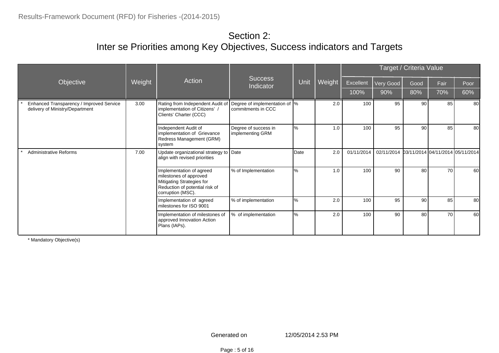#### Section 2: Inter se Priorities among Key Objectives, Success indicators and Targets

|                                                                             |        |                                                                                                                                        |                                                      |               |        | Target / Criteria Value |            |                 |                                  |      |  |
|-----------------------------------------------------------------------------|--------|----------------------------------------------------------------------------------------------------------------------------------------|------------------------------------------------------|---------------|--------|-------------------------|------------|-----------------|----------------------------------|------|--|
| Objective                                                                   | Weight | Action                                                                                                                                 | Success<br>Indicator                                 | Unit          | Weight | <b>Excellent</b>        | Very Good  | Good            | Fair                             | Poor |  |
|                                                                             |        |                                                                                                                                        |                                                      |               |        | 100%                    | 90%        | 80%             | 70%                              | 60%  |  |
| Enhanced Transparency / Improved Service<br>delivery of Ministry/Department | 3.00   | Rating from Independent Audit of<br>implementation of Citizens'<br>Clients' Charter (CCC)                                              | Degree of implementation of  %<br>commitments in CCC |               | 2.0    | 100                     | 95         | 90 <sub>1</sub> | 85                               | 80   |  |
|                                                                             |        | Independent Audit of<br>implementation of Grievance<br>Redress Management (GRM)<br>system                                              | Degree of success in<br>implementing GRM             | $\frac{1}{6}$ | 1.0    | 100                     | 95         | 90              | 85                               | 80   |  |
| <b>Administrative Reforms</b>                                               | 7.00   | Update organizational strategy to Date<br>align with revised priorities                                                                |                                                      | Date          | 2.0    | 01/11/2014              | 02/11/2014 |                 | b3/11/2014 04/11/2014 05/11/2014 |      |  |
|                                                                             |        | Implementation of agreed<br>milestones of approved<br>Mitigating Strategies for<br>Reduction of potential risk of<br>corruption (MSC). | % of Implementation                                  | $\%$          | 1.0    | 100                     | 90         | 80              | 70                               | 60   |  |
|                                                                             |        | Implementation of agreed<br>milestones for ISO 9001                                                                                    | % of implementation                                  | l%            | 2.0    | 100                     | 95         | 90              | 85                               | 80   |  |
|                                                                             |        | Implementation of milestones of<br>approved Innovation Action<br>Plans (IAPs).                                                         | % of implementation                                  | $\frac{1}{6}$ | 2.0    | 100                     | 90         | 80              | 70                               | 60   |  |

\* Mandatory Objective(s)

Page : 5 of 16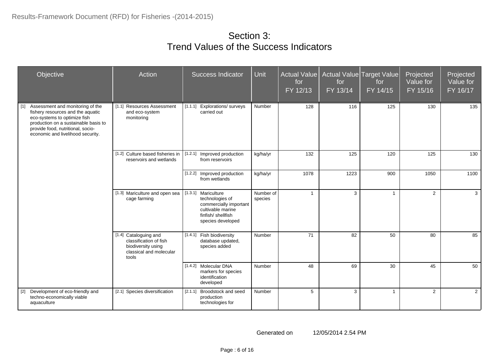#### Section 3: Trend Values of the Success Indicators

| Objective                                                                                                                                                                                                                        | Action                                                                                                    | <b>Success Indicator</b>                                                                                                        | <b>Unit</b>          | Actual Value<br>for<br>FY 12/13 | for<br>FY 13/14 | Actual Value Target Value<br>for<br>FY 14/15 | Projected<br>Value for<br>FY 15/16 | Projected<br>Value for<br>FY 16/17 |
|----------------------------------------------------------------------------------------------------------------------------------------------------------------------------------------------------------------------------------|-----------------------------------------------------------------------------------------------------------|---------------------------------------------------------------------------------------------------------------------------------|----------------------|---------------------------------|-----------------|----------------------------------------------|------------------------------------|------------------------------------|
| $[1]$<br>Assessment and monitoring of the<br>fishery resources and the aquatic<br>eco-systems to optimize fish<br>production on a sustainable basis to<br>provide food, nutritional, socio-<br>economic and livelihood security. | [1.1] Resources Assessment<br>and eco-system<br>monitoring                                                | [1.1.1]<br>Explorations/ surveys<br>carried out                                                                                 | Number               | 128                             | 116             | 125                                          | 130                                | 135                                |
|                                                                                                                                                                                                                                  | [1.2] Culture based fisheries in<br>reservoirs and wetlands                                               | [1.2.1] Improved production<br>from reservoirs                                                                                  | kg/ha/yr             | 132                             | 125             | 120                                          | 125                                | 130                                |
|                                                                                                                                                                                                                                  |                                                                                                           | [1.2.2] Improved production<br>from wetlands                                                                                    | kg/ha/yr             | 1078                            | 1223            | 900                                          | 1050                               | 1100                               |
|                                                                                                                                                                                                                                  | [1.3] Mariculture and open sea<br>cage farming                                                            | [1.3.1] Mariculture<br>technologies of<br>commercially important<br>cultivable marine<br>finfish/shellfish<br>species developed | Number of<br>species | $\overline{1}$                  | 3               | $\overline{1}$                               | $\overline{2}$                     | $\mathbf{3}$                       |
|                                                                                                                                                                                                                                  | [1.4] Cataloguing and<br>classification of fish<br>biodiversity using<br>classical and molecular<br>tools | [1.4.1] Fish biodiversity<br>database updated,<br>species added                                                                 | Number               | 71                              | 82              | 50                                           | 80                                 | 85                                 |
|                                                                                                                                                                                                                                  |                                                                                                           | [1.4.2] Molecular DNA<br>markers for species<br>identification<br>developed                                                     | Number               | 48                              | 69              | 30                                           | 45                                 | 50                                 |
| [2]<br>Development of eco-friendly and<br>techno-economically viable<br>aquaculture                                                                                                                                              | [2.1] Species diversification                                                                             | [2.1.1]<br>Broodstock and seed<br>production<br>technologies for                                                                | Number               | 5                               | 3               | $\overline{1}$                               | $\overline{2}$                     | $\overline{2}$                     |

Generated on 12/05/2014 2.54 PM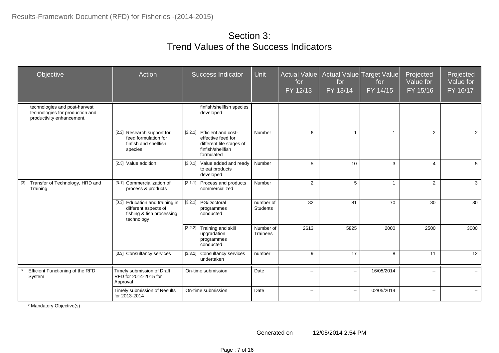#### Section 3: Trend Values of the Success Indicators

| Objective                                                                                     | Action                                                                                             | <b>Success Indicator</b>                                                                                         | <b>Unit</b>                  | <b>Actual Value</b><br>for<br>FY 12/13 | for<br>FY 13/14 | Actual Value Target Value<br>for<br>FY 14/15 | Projected<br>Value for<br>FY 15/16 | Projected<br>Value for<br>FY 16/17 |
|-----------------------------------------------------------------------------------------------|----------------------------------------------------------------------------------------------------|------------------------------------------------------------------------------------------------------------------|------------------------------|----------------------------------------|-----------------|----------------------------------------------|------------------------------------|------------------------------------|
| technologies and post-harvest<br>technologies for production and<br>productivity enhancement. |                                                                                                    | finfish/shellfish species<br>developed                                                                           |                              |                                        |                 |                                              |                                    |                                    |
|                                                                                               | [2.2] Research support for<br>feed formulation for<br>finfish and shellfish<br>species             | [2.2.1] Efficient and cost-<br>effective feed for<br>different life stages of<br>finfish/shellfish<br>formulated | Number                       | 6                                      |                 | $\overline{1}$                               | 2                                  | $\overline{2}$                     |
|                                                                                               | [2.3] Value addition                                                                               | [2.3.1]<br>Value added and ready<br>to eat products<br>developed                                                 | Number                       | 5                                      | 10              | 3                                            | $\overline{4}$                     | 5                                  |
| Transfer of Technology, HRD and<br>$[3]$<br>Training.                                         | [3.1] Commercialization of<br>process & products                                                   | [3.1.1]<br>Process and products<br>commercialized                                                                | Number                       | 2                                      | 5               | $\overline{1}$                               | 2                                  | 3                                  |
|                                                                                               | [3.2] Education and training in<br>different aspects of<br>fishing & fish processing<br>technology | [3.2.1] PG/Doctoral<br>programmes<br>conducted                                                                   | number of<br><b>Students</b> | 82                                     | 81              | 70                                           | 80                                 | 80                                 |
|                                                                                               |                                                                                                    | Training and skill<br>[3.2.2]<br>upgradation<br>programmes<br>conducted                                          | Number of<br><b>Trainees</b> | 2613                                   | 5825            | 2000                                         | 2500                               | 3000                               |
|                                                                                               | [3.3] Consultancy services                                                                         | [3.3.1]<br><b>Consultancy services</b><br>undertaken                                                             | number                       | 9                                      | 17              | 8                                            | 11                                 | 12                                 |
| Efficient Functioning of the RFD<br>System                                                    | Timely submission of Draft<br>RFD for 2014-2015 for<br>Approval                                    | On-time submission                                                                                               | Date                         | $\sim$                                 | $\sim$          | 16/05/2014                                   | $\overline{\phantom{a}}$           | $\sim$ $-$                         |
|                                                                                               | Timely submission of Results<br>for 2013-2014                                                      | On-time submission                                                                                               | Date                         | $\sim$                                 | $\sim$          | 02/05/2014                                   | $\sim$                             | $\sim$                             |

\* Mandatory Objective(s)

Generated on 12/05/2014 2.54 PM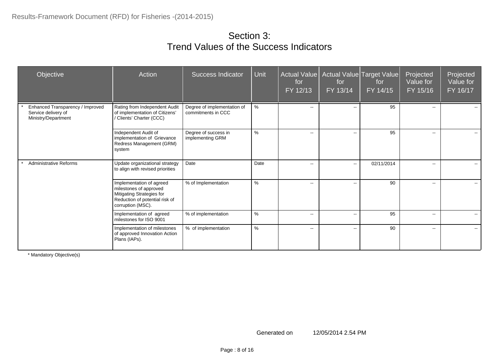#### Section 3: Trend Values of the Success Indicators

| Objective                                                                      | Action                                                                                                                                 | <b>Success Indicator</b>                          | Unit | <b>Actual Value</b><br>for<br>FY 12/13 | for<br>FY 13/14          | Actual Value Target Value<br>for<br>FY 14/15 | Projected<br>Value for<br>FY 15/16 | Projected<br>Value for<br>FY 16/17 |
|--------------------------------------------------------------------------------|----------------------------------------------------------------------------------------------------------------------------------------|---------------------------------------------------|------|----------------------------------------|--------------------------|----------------------------------------------|------------------------------------|------------------------------------|
| Enhanced Transparency / Improved<br>Service delivery of<br>Ministry/Department | Rating from Independent Audit<br>of implementation of Citizens'<br>/ Clients' Charter (CCC)                                            | Degree of implementation of<br>commitments in CCC | %    | $\mathbf{u}$                           | $\mathbf{u}$             | 95                                           | $\overline{\phantom{a}}$           | $\mathbf{u}$                       |
|                                                                                | Independent Audit of<br>implementation of Grievance<br>Redress Management (GRM)<br>system                                              | Degree of success in<br>implementing GRM          | %    | $\overline{\phantom{a}}$               | $\sim$                   | 95                                           | $\mathbf{u}$                       | $\sim$ $\sim$                      |
| <b>Administrative Reforms</b>                                                  | Update organizational strategy<br>to align with revised priorities                                                                     | Date                                              | Date | $-$                                    | $\mathbf{u}$             | 02/11/2014                                   | $\overline{\phantom{a}}$           | $\overline{\phantom{a}}$           |
|                                                                                | Implementation of agreed<br>milestones of approved<br>Mitigating Strategies for<br>Reduction of potential risk of<br>corruption (MSC). | % of Implementation                               | $\%$ | $\mathbf{u}$                           | $\overline{\phantom{a}}$ | 90                                           | $\overline{\phantom{a}}$           | $\sim$                             |
|                                                                                | Implementation of agreed<br>milestones for ISO 9001                                                                                    | % of implementation                               | %    | $\overline{\phantom{a}}$               | $\overline{\phantom{a}}$ | 95                                           | $\overline{\phantom{a}}$           | $\overline{\phantom{a}}$           |
|                                                                                | Implementation of milestones<br>of approved Innovation Action<br>Plans (IAPs).                                                         | % of implementation                               | %    | $\overline{\phantom{a}}$               | $\overline{\phantom{a}}$ | 90                                           | -−                                 | $\sim$                             |

\* Mandatory Objective(s)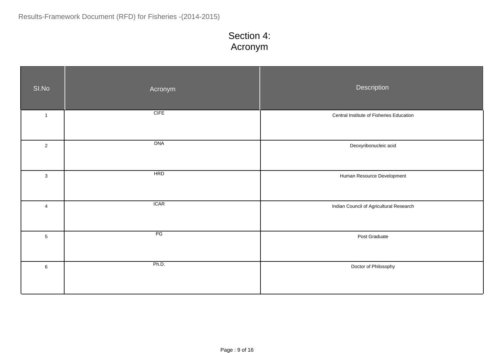## Section 4: Acronym

| SI.No          | Acronym    | Description                              |
|----------------|------------|------------------------------------------|
| $\mathbf{1}$   | $C$ IFE    | Central Institute of Fisheries Education |
| $\overline{2}$ | DNA        | Deoxyribonucleic acid                    |
| $\mathbf{3}$   | <b>HRD</b> | Human Resource Development               |
| 4              | ICAR       | Indian Council of Agricultural Research  |
| $\overline{5}$ | PG         | Post Graduate                            |
| $\,6\,$        | Ph.D.      | Doctor of Philosophy                     |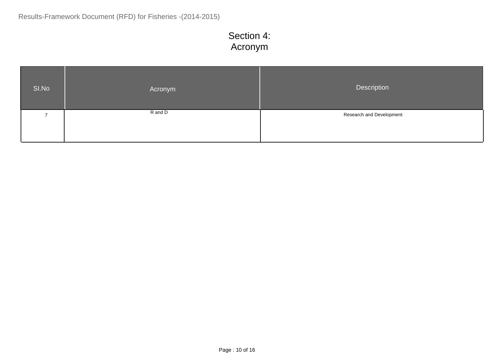## Section 4: Acronym

| SI.No | Acronym | Description              |
|-------|---------|--------------------------|
|       | R and D | Research and Development |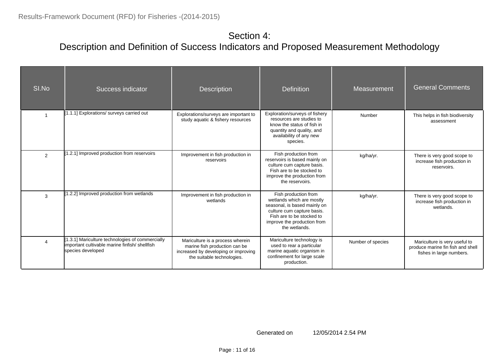| SI.No | Success indicator                                                                                                      | <b>Description</b>                                                                                                                      | <b>Definition</b>                                                                                                                                                                            | <b>Measurement</b> | <b>General Comments</b>                                                                        |
|-------|------------------------------------------------------------------------------------------------------------------------|-----------------------------------------------------------------------------------------------------------------------------------------|----------------------------------------------------------------------------------------------------------------------------------------------------------------------------------------------|--------------------|------------------------------------------------------------------------------------------------|
|       | [1.1.1] Explorations/ surveys carried out                                                                              | Explorations/surveys are important to<br>study aquatic & fishery resources                                                              | Exploration/surveys of fishery<br>resources are studies to<br>know the status of fish in<br>quantity and quality, and<br>availability of any new<br>species.                                 | Number             | This helps in fish biodiversity<br>assessment                                                  |
| 2     | 1.2.1] Improved production from reservoirs                                                                             | Improvement in fish production in<br>reservoirs                                                                                         | Fish production from<br>reservoirs is based mainly on<br>culture cum capture basis.<br>Fish are to be stocked to<br>improve the production from<br>the reservoirs.                           | kg/ha/yr.          | There is very good scope to<br>increase fish production in<br>reservoirs.                      |
| 3     | 1.2.2] Improved production from wetlands                                                                               | Improvement in fish production in<br>wetlands                                                                                           | Fish production from<br>wetlands which are mostly<br>seasonal, is based mainly on<br>culture cum capture basis.<br>Fish are to be stocked to<br>improve the production from<br>the wetlands. | kg/ha/yr.          | There is very good scope to<br>increase fish production in<br>wetlands.                        |
|       | 1.3.1] Mariculture technologies of commercially<br>important cultivable marine finfish/ shellfish<br>species developed | Mariculture is a process wherein<br>marine fish production can be<br>increased by developing or improving<br>the suitable technologies. | Mariculture technology is<br>used to rear a particular<br>marine aquatic organism in<br>confinement for large scale<br>production.                                                           | Number of species  | Mariculture is very useful to<br>produce marine fin fish and shell<br>fishes in large numbers. |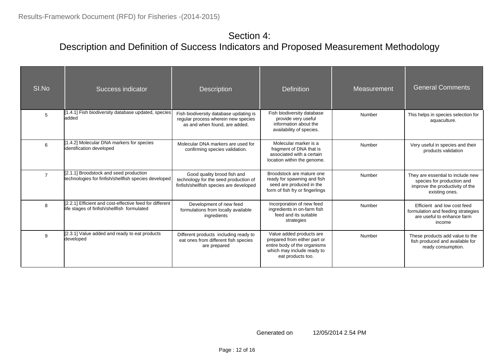| SI.No          | Success indicator                                                                                      | <b>Description</b>                                                                                              | <b>Definition</b>                                                                                                                           | Measurement | <b>General Comments</b>                                                                                              |
|----------------|--------------------------------------------------------------------------------------------------------|-----------------------------------------------------------------------------------------------------------------|---------------------------------------------------------------------------------------------------------------------------------------------|-------------|----------------------------------------------------------------------------------------------------------------------|
| 5              | [1.4.1] Fish biodiversity database updated, species<br>ladded                                          | Fish biodiversity database updating is<br>regular process wherein new species<br>as and when found, are added.  | Fish biodiversity database<br>provide very useful<br>information about the<br>availability of species.                                      | Number      | This helps in species selection for<br>aquaculture.                                                                  |
| 6              | 1.4.2] Molecular DNA markers for species<br>identification developed                                   | Molecular DNA markers are used for<br>confirming species validation.                                            | Molecular marker is a<br>fragment of DNA that is<br>associated with a certain<br>location within the genome.                                | Number      | Very useful in species and their<br>products validation                                                              |
| $\overline{7}$ | [2.1.1] Broodstock and seed production<br>technologies for finfish/shellfish species developed         | Good quality brood fish and<br>technology for the seed production of<br>finfish/shellfish species are developed | Broodstock are mature one<br>ready for spawning and fish<br>seed are produced in the<br>form of fish fry or fingerlings                     | Number      | They are essential to include new<br>species for production and<br>improve the productivity of the<br>existing ones. |
| 8              | [2.2.1] Efficient and cost-effective feed for different<br>life stages of finfish/shellfish formulated | Development of new feed<br>formulations from locally available<br>ingredients                                   | Incorporation of new feed<br>ingredients in on-farm fish<br>feed and its suitable<br>strategies                                             | Number      | Efficient and low cost feed<br>formulation and feeding strategies<br>are useful to enhance farm<br>income            |
| 9              | [2.3.1] Value added and ready to eat products<br>developed                                             | Different products including ready to<br>eat ones from different fish species<br>are prepared                   | Value added products are<br>prepared from either part or<br>entire body of the organisms<br>which may include ready to<br>eat products too. | Number      | These products add value to the<br>fish produced and available for<br>ready consumption.                             |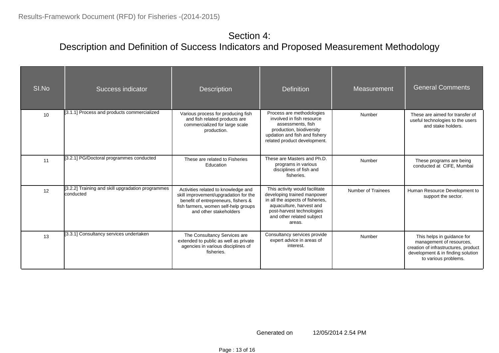| SI.No | Success indicator                                              | <b>Description</b>                                                                                                                                                                    | <b>Definition</b>                                                                                                                                                                                 | Measurement               | <b>General Comments</b>                                                                                                                                     |
|-------|----------------------------------------------------------------|---------------------------------------------------------------------------------------------------------------------------------------------------------------------------------------|---------------------------------------------------------------------------------------------------------------------------------------------------------------------------------------------------|---------------------------|-------------------------------------------------------------------------------------------------------------------------------------------------------------|
| 10    | [3.1.1] Process and products commercialized                    | Various process for producing fish<br>and fish related products are<br>commercialized for large scale<br>production.                                                                  | Process are methodologies<br>involved in fish resource<br>assessments, fish<br>production, biodiversity<br>updation and fish and fishery<br>related product development.                          | Number                    | These are aimed for transfer of<br>useful technologies to the users<br>and stake holders.                                                                   |
| 11    | [3.2.1] PG/Doctoral programmes conducted                       | These are related to Fisheries<br>Education                                                                                                                                           | These are Masters and Ph.D.<br>programs in various<br>disciplines of fish and<br>fisheries.                                                                                                       | Number                    | These programs are being<br>conducted at CIFE, Mumbai                                                                                                       |
| 12    | [3.2.2] Training and skill upgradation programmes<br>conducted | Activities related to knowledge and<br>skill improvement/upgradation for the<br>benefit of entrepreneurs, fishers &<br>fish farmers, women self-help groups<br>and other stakeholders | This activity would facilitate<br>developing trained manpower<br>in all the aspects of fisheries.<br>aquaculture, harvest and<br>post-harvest technologies<br>and other related subject<br>areas. | <b>Number of Trainees</b> | Human Resource Development to<br>support the sector.                                                                                                        |
| 13    | [3.3.1] Consultancy services undertaken                        | The Consultancy Services are<br>extended to public as well as private<br>agencies in various disciplines of<br>fisheries.                                                             | Consultancy services provide<br>expert advice in areas of<br>interest.                                                                                                                            | Number                    | This helps in guidance for<br>management of resources,<br>creation of infrastructures, product<br>development & in finding solution<br>to various problems. |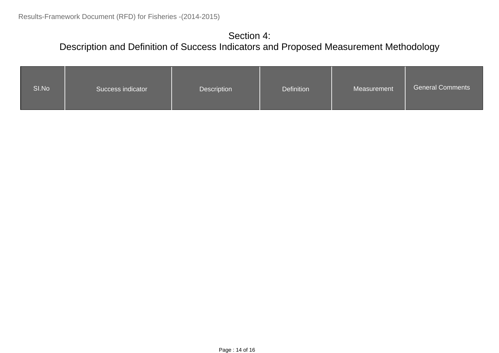| SI.No | Success indicator | Description | Definition | Measurement | <b>General Comments</b> |
|-------|-------------------|-------------|------------|-------------|-------------------------|
|-------|-------------------|-------------|------------|-------------|-------------------------|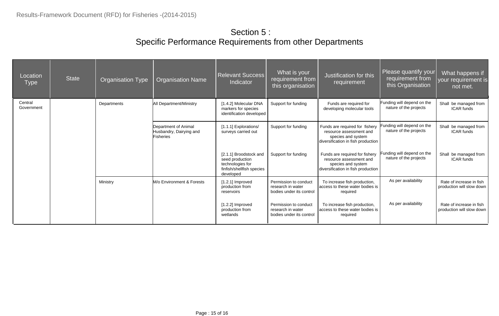### Section 5 : Specific Performance Requirements from other Departments

| Location<br><b>Type</b> | <b>State</b> | <b>Organisation Type</b> | <b>Organisation Name</b>                                            | <b>Relevant Success</b><br>Indicator                                                                    | What is your<br>requirement from<br>this organisation                  | Justification for this<br>requirement                                                                                 | Please quantify your<br>requirement from<br>this Organisation | What happens if<br>your requirement is<br>not met.    |
|-------------------------|--------------|--------------------------|---------------------------------------------------------------------|---------------------------------------------------------------------------------------------------------|------------------------------------------------------------------------|-----------------------------------------------------------------------------------------------------------------------|---------------------------------------------------------------|-------------------------------------------------------|
| Central<br>Government   |              | Departments              | <b>All Department/Ministry</b>                                      | [1.4.2] Molecular DNA<br>markers for species<br>identification developed                                | Support for funding                                                    | Funds are required for<br>developing molecular tools                                                                  | Funding will depend on the<br>nature of the projects          | Shall be managed from<br><b>ICAR</b> funds            |
|                         |              |                          | Department of Animal<br>Husbandry, Dairying and<br><b>Fisheries</b> | [1.1.1] Explorations/<br>surveys carried out                                                            | Support for funding                                                    | Funds are required for fishery<br>resource assessment and<br>species and system<br>diversification in fish production | unding will depend on the<br>nature of the projects           | Shall be managed from<br><b>ICAR</b> funds            |
|                         |              |                          |                                                                     | [2.1.1] Broodstock and<br>seed production<br>technologies for<br>finfish/shellfish species<br>developed | Support for funding                                                    | Funds are required for fishery<br>resource assessment and<br>species and system<br>diversification in fish production | Funding will depend on the<br>nature of the projects          | Shall be managed from<br><b>ICAR</b> funds            |
|                         |              | Ministry                 | M/o Environment & Forests                                           | $[1.2.1]$ Improved<br>production from<br>reservoirs                                                     | Permission to conduct<br>research in water<br>bodies under its control | To increase fish production,<br>access to these water bodies is<br>required                                           | As per availability                                           | Rate of increase in fish<br>production will slow down |
|                         |              |                          |                                                                     | $[1.2.2]$ Improved<br>production from<br>wetlands                                                       | Permission to conduct<br>research in water<br>bodies under its control | To increase fish production,<br>access to these water bodies is<br>required                                           | As per availability                                           | Rate of increase in fish<br>production will slow down |